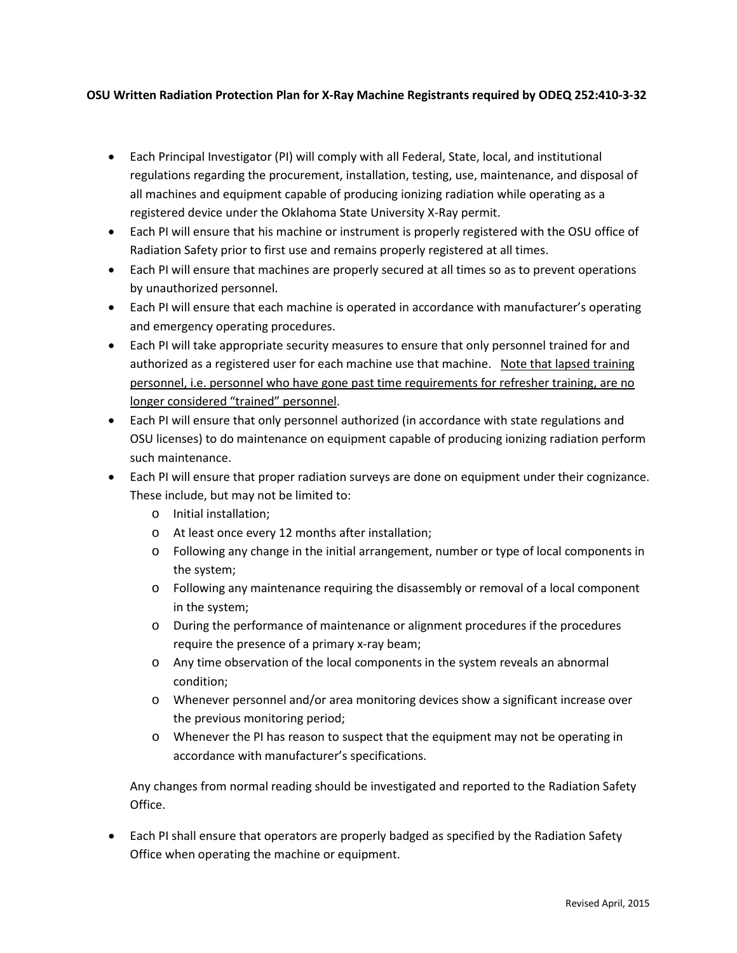## **OSU Written Radiation Protection Plan for X-Ray Machine Registrants required by ODEQ 252:410-3-32**

- Each Principal Investigator (PI) will comply with all Federal, State, local, and institutional regulations regarding the procurement, installation, testing, use, maintenance, and disposal of all machines and equipment capable of producing ionizing radiation while operating as a registered device under the Oklahoma State University X-Ray permit.
- Each PI will ensure that his machine or instrument is properly registered with the OSU office of Radiation Safety prior to first use and remains properly registered at all times.
- Each PI will ensure that machines are properly secured at all times so as to prevent operations by unauthorized personnel.
- Each PI will ensure that each machine is operated in accordance with manufacturer's operating and emergency operating procedures.
- Each PI will take appropriate security measures to ensure that only personnel trained for and authorized as a registered user for each machine use that machine. Note that lapsed training personnel, i.e. personnel who have gone past time requirements for refresher training, are no longer considered "trained" personnel.
- Each PI will ensure that only personnel authorized (in accordance with state regulations and OSU licenses) to do maintenance on equipment capable of producing ionizing radiation perform such maintenance.
- Each PI will ensure that proper radiation surveys are done on equipment under their cognizance. These include, but may not be limited to:
	- o Initial installation;
	- o At least once every 12 months after installation;
	- $\circ$  Following any change in the initial arrangement, number or type of local components in the system;
	- o Following any maintenance requiring the disassembly or removal of a local component in the system;
	- o During the performance of maintenance or alignment procedures if the procedures require the presence of a primary x-ray beam;
	- o Any time observation of the local components in the system reveals an abnormal condition;
	- o Whenever personnel and/or area monitoring devices show a significant increase over the previous monitoring period;
	- o Whenever the PI has reason to suspect that the equipment may not be operating in accordance with manufacturer's specifications.

Any changes from normal reading should be investigated and reported to the Radiation Safety Office.

• Each PI shall ensure that operators are properly badged as specified by the Radiation Safety Office when operating the machine or equipment.